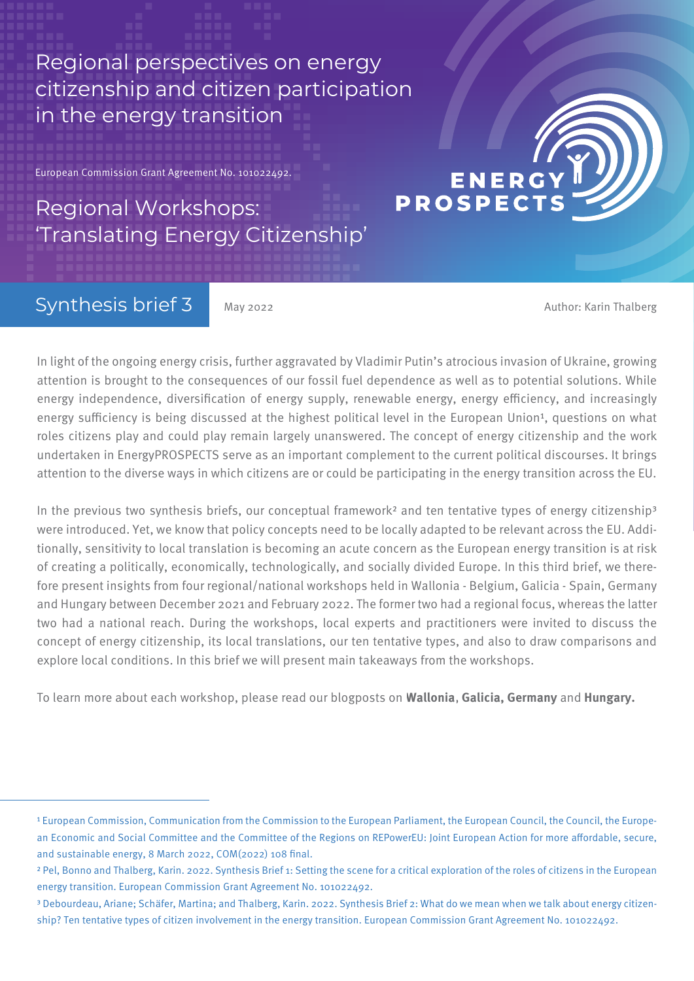Regional perspectives on energy citizenship and citizen participation in the energy transition

European Commission Grant Agreement No. 101022492.

# Regional Workshops: 'Translating Energy Citizenship'

## Synthesis brief 3

May 2022 **Author: Karin Thalberg** May 2022

**ENERG** 

**PROSPECT** 

In light of the ongoing energy crisis, further aggravated by Vladimir Putin's atrocious invasion of Ukraine, growing attention is brought to the consequences of our fossil fuel dependence as well as to potential solutions. While energy independence, diversification of energy supply, renewable energy, energy efficiency, and increasingly energy sufficiency is being discussed at the highest political level in the European Union<sup>1</sup>, questions on what roles citizens play and could play remain largely unanswered. The concept of energy citizenship and the work undertaken in EnergyPROSPECTS serve as an important complement to the current political discourses. It brings attention to the diverse ways in which citizens are or could be participating in the energy transition across the EU.

In the previous two synthesis briefs, our conceptual framework<sup>2</sup> and ten tentative types of energy citizenship<sup>3</sup> were introduced. Yet, we know that policy concepts need to be locally adapted to be relevant across the EU. Additionally, sensitivity to local translation is becoming an acute concern as the European energy transition is at risk of creating a politically, economically, technologically, and socially divided Europe. In this third brief, we therefore present insights from four regional/national workshops held in Wallonia - Belgium, Galicia - Spain, Germany and Hungary between December 2021 and February 2022. The former two had a regional focus, whereas the latter two had a national reach. During the workshops, local experts and practitioners were invited to discuss the concept of energy citizenship, its local translations, our ten tentative types, and also to draw comparisons and explore local conditions. In this brief we will present main takeaways from the workshops.

To learn more about each workshop, please read our blogposts on **[Wallonia,](https://www.energyprospects.eu/news/translating-energy-citizenship-i-wallonia-belgium/) [Galicia,](https://www.energyprospects.eu/news/blog/translating-enci-galicia/spain/) [Germany](https://www.energyprospects.eu/news/blog/translating-energy-citizenship-iii-berlin-germany/)** and **[Hungary.](https://www.energyprospects.eu/news/blog/translating-energy-citizenship-iv-hungary/)**

<sup>&</sup>lt;sup>1</sup> European Commission, Communication from the Commission to the European Parliament, the European Council, the Council, the European Economic and Social Committee and the Committee of the Regions on REPowerEU: Joint European Action for more affordable, secure, and sustainable energy, 8 March 2022, COM(2022) 108 final.

² Pel, Bonno and Thalberg, Karin. 2022. Synthesis Brief 1: Setting the scene for a critical exploration of the roles of citizens in the European energy transition. European Commission Grant Agreement No. 101022492.

³ Debourdeau, Ariane; Schäfer, Martina; and Thalberg, Karin. 2022. Synthesis Brief 2: What do we mean when we talk about energy citizenship? Ten tentative types of citizen involvement in the energy transition. European Commission Grant Agreement No. 101022492.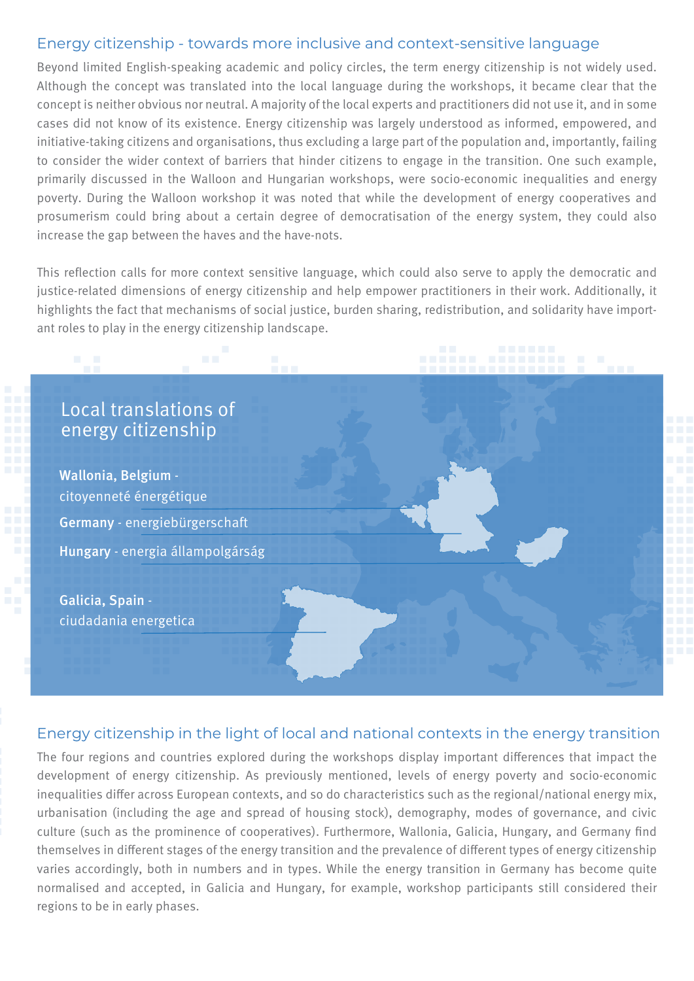### Energy citizenship - towards more inclusive and context-sensitive language

Beyond limited English-speaking academic and policy circles, the term energy citizenship is not widely used. Although the concept was translated into the local language during the workshops, it became clear that the concept is neither obvious nor neutral. A majority of the local experts and practitioners did not use it, and in some cases did not know of its existence. Energy citizenship was largely understood as informed, empowered, and initiative-taking citizens and organisations, thus excluding a large part of the population and, importantly, failing to consider the wider context of barriers that hinder citizens to engage in the transition. One such example, primarily discussed in the Walloon and Hungarian workshops, were socio-economic inequalities and energy poverty. During the Walloon workshop it was noted that while the development of energy cooperatives and prosumerism could bring about a certain degree of democratisation of the energy system, they could also increase the gap between the haves and the have-nots.

This reflection calls for more context sensitive language, which could also serve to apply the democratic and justice-related dimensions of energy citizenship and help empower practitioners in their work. Additionally, it highlights the fact that mechanisms of social justice, burden sharing, redistribution, and solidarity have important roles to play in the energy citizenship landscape.

### Local translations of energy citizenship

Hungary - energia állampolgárság Wallonia, Belgium citoyenneté énergétique Germany - energiebürgerschaft

Galicia, Spain ciudadania energetica

#### Energy citizenship in the light of local and national contexts in the energy transition

The four regions and countries explored during the workshops display important differences that impact the development of energy citizenship. As previously mentioned, levels of energy poverty and socio-economic inequalities differ across European contexts, and so do characteristics such as the regional/national energy mix, urbanisation (including the age and spread of housing stock), demography, modes of governance, and civic culture (such as the prominence of cooperatives). Furthermore, Wallonia, Galicia, Hungary, and Germany find themselves in different stages of the energy transition and the prevalence of different types of energy citizenship varies accordingly, both in numbers and in types. While the energy transition in Germany has become quite normalised and accepted, in Galicia and Hungary, for example, workshop participants still considered their regions to be in early phases.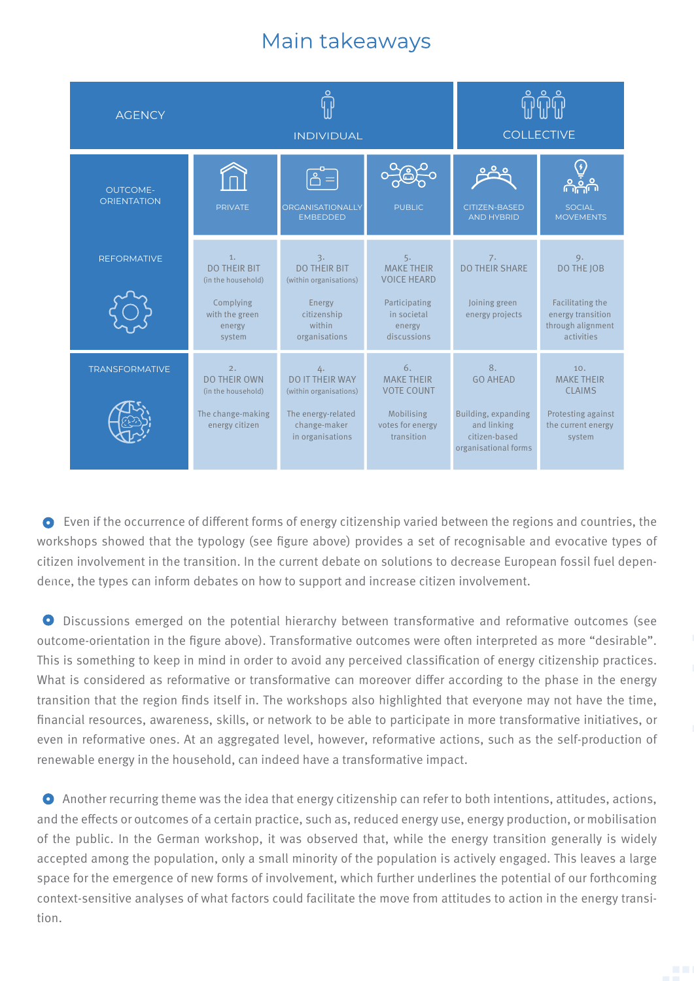## Main takeaways



 • Even if the occurrence of different forms of energy citizenship varied between the regions and countries, the workshops showed that the typology (see figure above) provides a set of recognisable and evocative types of citizen involvement in the transition. In the current debate on solutions to decrease European fossil fuel dependence, the types can inform debates on how to support and increase citizen involvement.

 • Discussions emerged on the potential hierarchy between transformative and reformative outcomes (see outcome-orientation in the figure above). Transformative outcomes were often interpreted as more "desirable". This is something to keep in mind in order to avoid any perceived classification of energy citizenship practices. What is considered as reformative or transformative can moreover differ according to the phase in the energy transition that the region finds itself in. The workshops also highlighted that everyone may not have the time, financial resources, awareness, skills, or network to be able to participate in more transformative initiatives, or even in reformative ones. At an aggregated level, however, reformative actions, such as the self-production of renewable energy in the household, can indeed have a transformative impact.

 • Another recurring theme was the idea that energy citizenship can refer to both intentions, attitudes, actions, and the effects or outcomes of a certain practice, such as, reduced energy use, energy production, or mobilisation of the public. In the German workshop, it was observed that, while the energy transition generally is widely accepted among the population, only a small minority of the population is actively engaged. This leaves a large space for the emergence of new forms of involvement, which further underlines the potential of our forthcoming context-sensitive analyses of what factors could facilitate the move from attitudes to action in the energy transition.